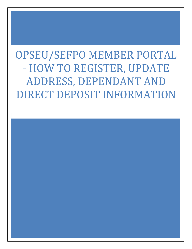OPSEU/SEFPO MEMBER PORTAL - HOW TO REGISTER, UPDATE ADDRESS, DEPENDANT AND DIRECT DEPOSIT INFORMATION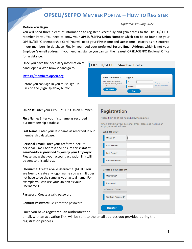#### **Before You Begin**

#### *Updated: January 2022*

You will need three pieces of information to register successfully and gain access to the OPSEU/SEFPO Member Portal. You need to know your **OPSEU/SEFPO Union Number** which can be do found on your OPSEU/SEFPO Membership Card. You will need your **First Name** and **Last Name** – exactly as it is entered in our membership database. Finally, you need your preferred **Secure Email Address** which is not your Employer's email address. If you need assistance you can call the nearest OPSEU/SEFPO Regional Office for assistance.

Once you have the necessary information at hand, open a Web browser and go to:

#### **[https://members.opseu.org](https://members.opseu.org/)**

Before you can Sign-In you must Sign-Up. Click on the **[Sign Up Now]** button.

### **OPSEU/SEFPO Member Portal**

| <b>First Time Here?</b>                                           | Sign In  |                       |
|-------------------------------------------------------------------|----------|-----------------------|
| Make sure you have your Union<br>Membership Card ready as we will | Username | Forgot your usemame?  |
| need your member number.                                          | Password | Forgot your password? |
| <b>Sign Up Now</b>                                                | Login    |                       |

**Union #:** Enter your OPSEU/SEFPO Union number.

**First Name:** Enter your first name as recorded in our membership database.

**Last Name:** Enter your last name as recorded in our membership database.

**Personal Email:** Enter your preferred, secure personal, Email Address and ensure this *is not an email address provided to you by your Employer*. Please know that your account activation link will be sent to this address.

**Username:** Create a valid Username. (NOTE: You are free to create any logon name you wish. It does not have to be the same as your actual name. For example you can use your Union# as your Username.)

**Password:** Create a valid password.

**Confirm Password:** Re-enter the password.

Once you have registered, an authentication

email, with an activation link, will be sent to the email address you provided during the registration process.

### **Registration**

Please fill in all of the fields below to register.

When providing your personal email, please do not use an employer email address.

| Who are you?         |  |
|----------------------|--|
| Union #*             |  |
| First Name*          |  |
| Last Name*           |  |
| Personal Email*      |  |
|                      |  |
| Create a new account |  |
| Username*            |  |
| Password*            |  |
| No Password Entered  |  |
| Confirm Password*    |  |
| <b>Register</b>      |  |
|                      |  |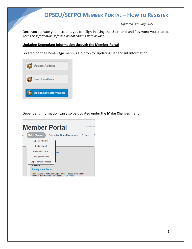*Updated: January 2022*

Once you activate your account, you can Sign-in using the Username and Password you created. *Keep this information safe and do not share it with anyone.*

#### **Updating Dependant Information through the Member Portal**

Located on the **Home Page** menu is a button for updating Dependant Information.



Dependent information can also be updated under the **Make Changes** menu.

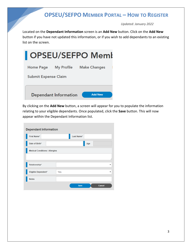*Updated: January 2022*

Located on the **Dependant Information** screen is an **Add New** button. Click on the **Add New** button if you have not updated this information, or if you wish to add dependants to an existing list on the screen.



By clicking on the **Add New** button, a screen will appear for you to populate the information relating to your eligible dependants. Once populated, click the **Save** button. This will now appear within the Dependant Information list.

| <b>Dependant Information</b>          |     |             |     |               |   |
|---------------------------------------|-----|-------------|-----|---------------|---|
| <b>First Name*</b>                    |     | Last Name*  |     |               |   |
| Date of Birth*                        |     |             | Age |               |   |
| <b>Medical Conditions / Allergies</b> |     |             |     |               |   |
|                                       |     |             |     |               | D |
| Relationship*                         |     |             |     |               | ▼ |
| Eligible Dependent*                   | Yes |             |     |               | ▼ |
| <b>Notes</b>                          |     |             |     |               |   |
|                                       |     | <b>Save</b> |     | <b>Cancel</b> |   |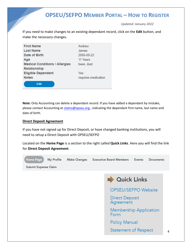*Updated: January 2022*

If you need to make changes to an existing dependant record, click on the **Edit** button, and make the necessary changes.

| <b>First Name</b>                     | Andrew              |
|---------------------------------------|---------------------|
| <b>Last Name</b>                      | James               |
| Date of Birth                         | 2006-09-22          |
| Age                                   | 11 Years            |
| <b>Medical Conditions / Allergies</b> | bees, dust          |
| Relationship                          |                     |
| <b>Eligible Dependent</b>             | Yes                 |
| <b>Notes</b>                          | requires medication |
| <b>Edit</b>                           |                     |

**Note:** Only Accounting can delete a dependant record. If you have added a dependant by mistake, please contact Accounting a[t claims@opseu.org](mailto:claims@opseu.org) , indicating the dependant first name, last name and date of birth.

### **Direct Deposit Agreement**

If you have not signed up for Direct Deposit, or have changed banking institutions, you will need to setup a Direct Deposit with OPSEU/SEFPO

Located on the **Home Page** is a section to the right called **Quick Links**. Here you will find the link for **Direct Deposit Agreement**.

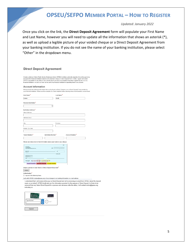*Updated: January 2022*

Once you click on the link, the **Direct Deposit Agreement** form will populate your First Name and Last Name, however you will need to update all the information that shows an asterisk (\*), as well as upload a legible picture of your voided cheque or a Direct Deposit Agreement from your banking institution. If you do not see the name of your banking institution, please select "Other" in the dropdown menu.

#### **Direct Deposit Agreement**

I hereby authorize Ontario Public Service Employees Union (OPSEU) to initiate automatic deposits of my strike pay to my<br>account at the financial institution named on the attached Cheque or Direct Deposit Form. Further, I a

#### **Account Information**

Please provide the following information that can be found on Bank Cheques or on a Direct Deposit Form provided by<br>your financial institution. Please see the example of a Check depicted below showing where this information

| First Name <sup>*</sup>                                                                     | Last Name <sup>*</sup> |
|---------------------------------------------------------------------------------------------|------------------------|
| James                                                                                       | Smith                  |
| Financial Institution*                                                                      |                        |
| $\checkmark$                                                                                |                        |
| Institution Address*                                                                        |                        |
| <b>Street Address</b>                                                                       |                        |
|                                                                                             |                        |
| Address Line 2                                                                              |                        |
|                                                                                             |                        |
| City                                                                                        | Province               |
|                                                                                             |                        |
| Postal / Zip Code                                                                           |                        |
|                                                                                             |                        |
| Transit Number*<br>Institution Number*                                                      | Account Number*        |
|                                                                                             |                        |
|                                                                                             |                        |
| Please see below how to find information about your bank on you cheque                      |                        |
|                                                                                             | 001                    |
| <b>YOUR NAME</b><br>123 ANY STREET<br>DATE<br>YOUR TOWN, PROVINCE M4P 1VS                   | YMMDI                  |
| <b>INV TO THE</b>                                                                           |                        |
| <b>ORDER OF</b>                                                                             | 100 DOLLARS            |
| VOURFIELNICAL INSTITUTION<br><b>CALIFORNIA STREET</b><br><b>VOUR TOWN, PROVINCE IS, IL1</b> |                        |
| <b>MEMO</b>                                                                                 |                        |
| 122345-678: 123-456-7<br><b>INDO AIR</b>                                                    |                        |
| <b>Transit Number</b> Institution Number Account Number                                     |                        |

Attach a picture of your Check or Direct Deposit Document\* Upload

Authorization<sup>3</sup>

I agree to the following Items :

I will notify OPSEU (claims@opseu.org) of any changes to my banking information or e-mail address

I understand that I will receive strike pay by Direct Deposit and will be receiving an email from OPSEU about the deposit made on my behalf. OPSEU shall only use the information provided for the purpose of Direct Deposit. In Order to be removed from any future Direct Deposit for expenses and advances after the strike, I will contact claims@opseu.org indicating so.